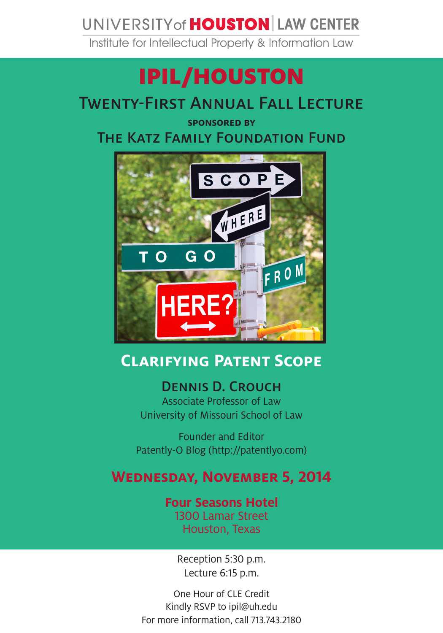# UNIVERSITY of **HOUSTON** LAW CENTER

Institute for Intellectual Property & Information Law

# IPIL/HOUSTON

## Twenty-First Annual Fall Lecture

**sponsored by** 

The Katz Family Foundation Fund



# **Clarifying Patent Scope**

### Dennis D. Crouch

Associate Professor of Law University of Missouri School of Law

Founder and Editor Patently-O Blog (http://patentlyo.com)

### **Wednesday, November 5, 2014**

#### **Four Seasons Hotel** 1300 Lamar Street

Houston, Texas

Reception 5:30 p.m. Lecture 6:15 p.m.

One Hour of CLE Credit Kindly RSVP to ipil@uh.edu For more information, call 713.743.2180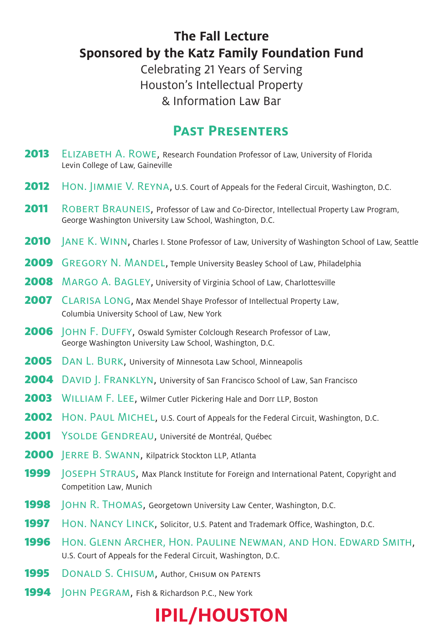### **The Fall Lecture Sponsored by the Katz Family Foundation Fund**

Celebrating 21 Years of Serving Houston's Intellectual Property & Information Law Bar

### **Past Presenters**

- 2013 ELIZABETH A. ROWE, Research Foundation Professor of Law, University of Florida Levin College of Law, Gaineville
- 2012 HON. JIMMIE V. REYNA, U.S. Court of Appeals for the Federal Circuit, Washington, D.C.
- 2011 ROBERT BRAUNEIS, Professor of Law and Co-Director, Intellectual Property Law Program, George Washington University Law School, Washington, D.C.
- **2010** JANE K. WINN, Charles I. Stone Professor of Law, University of Washington School of Law, Seattle
- 2009 GREGORY N. MANDEL, Temple University Beasley School of Law, Philadelphia
- 2008 MARGO A. BAGLEY, University of Virginia School of Law, Charlottesville
- 2007 CLARISA LONG, Max Mendel Shaye Professor of Intellectual Property Law, Columbia University School of Law, New York
- 2006 JOHN F. DUFFY, Oswald Symister Colclough Research Professor of Law, George Washington University Law School, Washington, D.C.
- 2005 DAN L. BURK, University of Minnesota Law School, Minneapolis
- 2004 DAVID I. FRANKLYN, University of San Francisco School of Law, San Francisco
- 2003 WILLIAM F. LEE, Wilmer Cutler Pickering Hale and Dorr LLP, Boston
- **2002** HON. PAUL MICHEL, U.S. Court of Appeals for the Federal Circuit, Washington, D.C.
- 2001 YSOLDE GENDREAU, Université de Montréal, Québec
- 2000 JERRE B. SWANN, Kilpatrick Stockton LLP, Atlanta
- **1999 JOSEPH STRAUS, Max Planck Institute for Foreign and International Patent, Copyright and** Competition Law, Munich
- **1998 JOHN R. THOMAS, Georgetown University Law Center, Washington, D.C.**
- **1997** HON. NANCY LINCK, Solicitor, U.S. Patent and Trademark Office, Washington, D.C.
- **1996** Hon. GLENN ARCHER, HON. PAULINE NEWMAN, AND HON. EDWARD SMITH, U.S. Court of Appeals for the Federal Circuit, Washington, D.C.
- **1995** DONALD S. CHISUM, Author, CHISUM ON PATENTS
- 1994 | OHN PEGRAM, Fish & Richardson P.C., New York

# **IPIL/HOUSTON**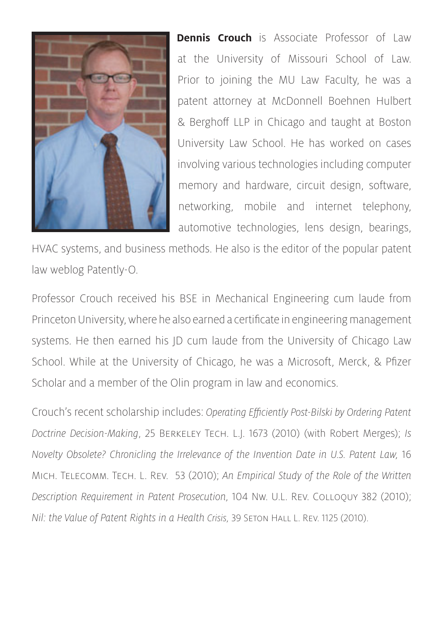

**Dennis Crouch** is Associate Professor of Law at the University of Missouri School of Law. Prior to joining the MU Law Faculty, he was a patent attorney at McDonnell Boehnen Hulbert & Berghoff LLP in Chicago and taught at Boston University Law School. He has worked on cases involving various technologies including computer memory and hardware, circuit design, software, networking, mobile and internet telephony, automotive technologies, lens design, bearings,

HVAC systems, and business methods. He also is the editor of the popular patent law weblog Patently-O.

Professor Crouch received his BSE in Mechanical Engineering cum laude from Princeton University, where he also earned a certificate in engineering management systems. He then earned his JD cum laude from the University of Chicago Law School. While at the University of Chicago, he was a Microsoft, Merck, & Pfizer Scholar and a member of the Olin program in law and economics.

Crouch's recent scholarship includes: *Operating Efficiently Post-Bilski by Ordering Patent Doctrine Decision-Making*, 25 Berkeley Tech. L.J. 1673 (2010) (with Robert Merges); *Is Novelty Obsolete? Chronicling the Irrelevance of the Invention Date in U.S. Patent Law,* 16 Mich. Telecomm. Tech. L. Rev. 53 (2010); *An Empirical Study of the Role of the Written Description Requirement in Patent Prosecution,* 104 Nw. U.L. Rev. Colloquy 382 (2010); *Nil: the Value of Patent Rights in a Health Crisis,* 39 Seton Hall L. Rev. 1125 (2010).